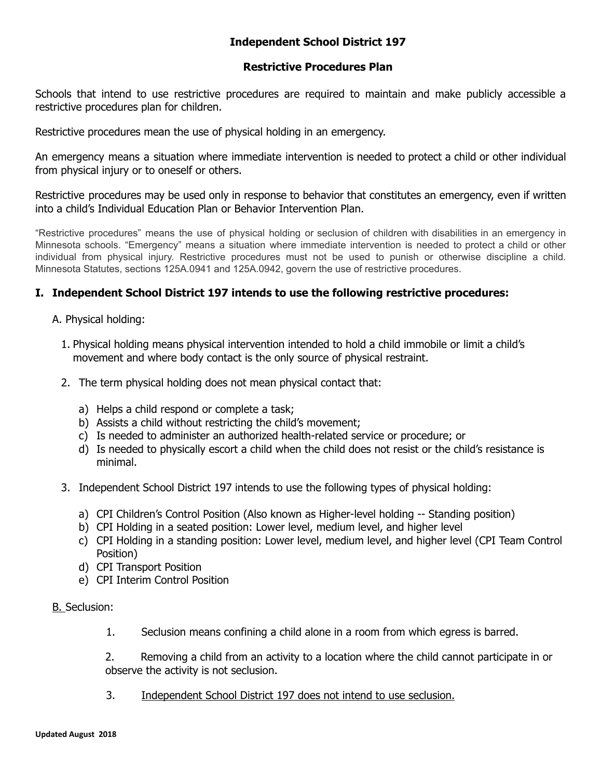# **Independent School District 197**

### **Restrictive Procedures Plan**

Schools that intend to use restrictive procedures are required to maintain and make publicly accessible a restrictive procedures plan for children.

Restrictive procedures mean the use of physical holding in an emergency.

An emergency means a situation where immediate intervention is needed to protect a child or other individual from physical injury or to oneself or others.

Restrictive procedures may be used only in response to behavior that constitutes an emergency, even if written into a child's Individual Education Plan or Behavior Intervention Plan.

"Restrictive procedures" means the use of physical holding or seclusion of children with disabilities in an emergency in Minnesota schools. "Emergency" means a situation where immediate intervention is needed to protect a child or other individual from physical injury. Restrictive procedures must not be used to punish or otherwise discipline a child. Minnesota Statutes, sections 125A.0941 and 125A.0942, govern the use of restrictive procedures.

### **I. Independent School District 197 intends to use the following restrictive procedures:**

- A. Physical holding:
	- 1. Physical holding means physical intervention intended to hold a child immobile or limit a child's movement and where body contact is the only source of physical restraint.
	- 2. The term physical holding does not mean physical contact that:
		- a) Helps a child respond or complete a task;
		- b) Assists a child without restricting the child's movement;
		- c) Is needed to administer an authorized health-related service or procedure; or
		- d) Is needed to physically escort a child when the child does not resist or the child's resistance is minimal.
	- 3. Independent School District 197 intends to use the following types of physical holding:
		- a) CPI Children's Control Position (Also known as Higher-level holding -- Standing position)
		- b) CPI Holding in a seated position: Lower level, medium level, and higher level
		- c) CPI Holding in a standing position: Lower level, medium level, and higher level (CPI Team Control Position)
		- d) CPI Transport Position
		- e) CPI Interim Control Position

#### B. Seclusion:

1. Seclusion means confining a child alone in a room from which egress is barred.

2. Removing a child from an activity to a location where the child cannot participate in or observe the activity is not seclusion.

3. Independent School District 197 does not intend to use seclusion.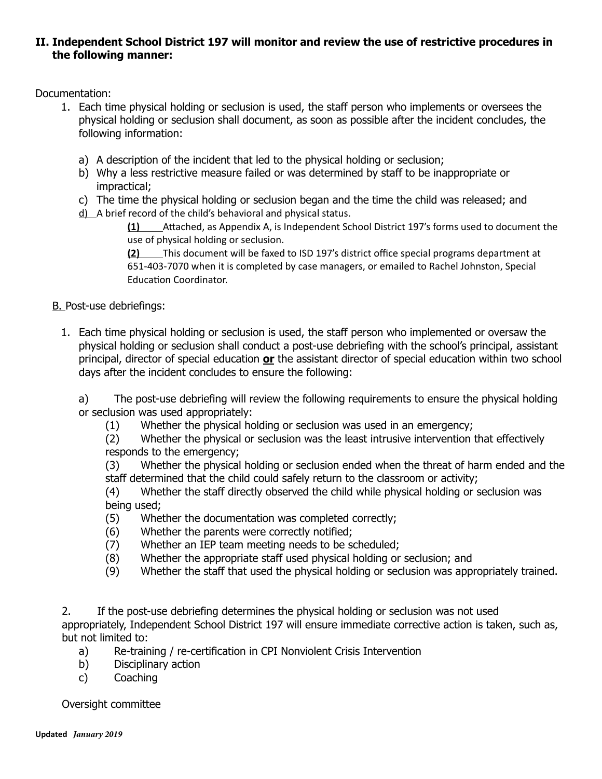### **II. Independent School District 197 will monitor and review the use of restrictive procedures in the following manner:**

Documentation:

- 1. Each time physical holding or seclusion is used, the staff person who implements or oversees the physical holding or seclusion shall document, as soon as possible after the incident concludes, the following information:
	- a) A description of the incident that led to the physical holding or seclusion;
	- b) Why a less restrictive measure failed or was determined by staff to be inappropriate or impractical;
	- c) The time the physical holding or seclusion began and the time the child was released; and
	- d) A brief record of the child's behavioral and physical status.

**(1)** Attached, as Appendix A, is Independent School District 197's forms used to document the use of physical holding or seclusion.

**(2)** This document will be faxed to ISD 197's district office special programs department at 651‐403‐7070 when it is completed by case managers, or emailed to Rachel Johnston, Special Education Coordinator.

B. Post-use debriefings:

1. Each time physical holding or seclusion is used, the staff person who implemented or oversaw the physical holding or seclusion shall conduct a post-use debriefing with the school's principal, assistant principal, director of special education **or**  the assistant director of special education within two school days after the incident concludes to ensure the following:

a) The post-use debriefing will review the following requirements to ensure the physical holding or seclusion was used appropriately:

(1) Whether the physical holding or seclusion was used in an emergency;

(2) Whether the physical or seclusion was the least intrusive intervention that effectively responds to the emergency;

(3) Whether the physical holding or seclusion ended when the threat of harm ended and the staff determined that the child could safely return to the classroom or activity;

- (4) Whether the staff directly observed the child while physical holding or seclusion was being used;
- (5) Whether the documentation was completed correctly;
- (6) Whether the parents were correctly notified;
- (7) Whether an IEP team meeting needs to be scheduled;
- (8) Whether the appropriate staff used physical holding or seclusion; and
- (9) Whether the staff that used the physical holding or seclusion was appropriately trained.

2. If the post-use debriefing determines the physical holding or seclusion was not used appropriately, Independent School District 197 will ensure immediate corrective action is taken, such as, but not limited to:

- a) Re-training / re-certification in CPI Nonviolent Crisis Intervention
- b) Disciplinary action
- c) Coaching

Oversight committee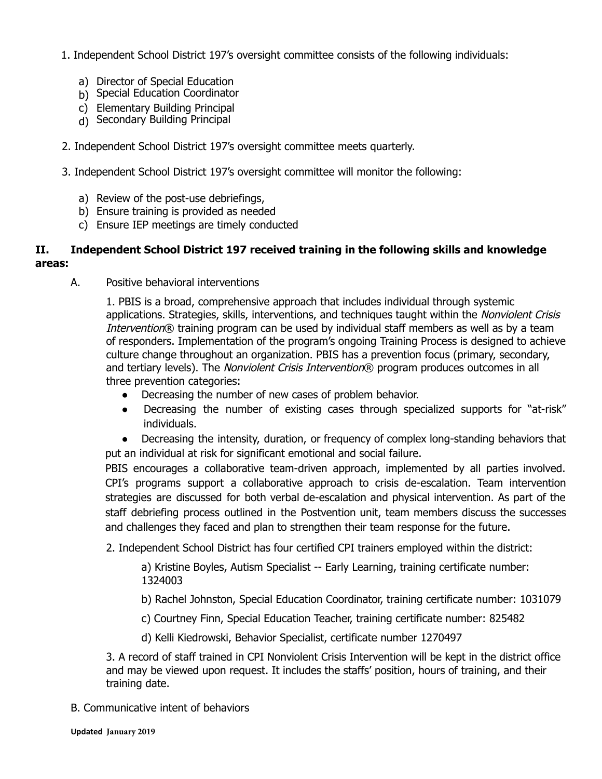- 1. Independent School District 197's oversight committee consists of the following individuals:
	- a) Director of Special Education
	- b) Special Education Coordinator
	- c) Elementary Building Principal
	- d) Secondary Building Principal
- 2. Independent School District 197's oversight committee meets quarterly.
- 3. Independent School District 197's oversight committee will monitor the following:
	- a) Review of the post-use debriefings,
	- b) Ensure training is provided as needed
	- c) Ensure IEP meetings are timely conducted

## **II. Independent School District 197 received training in the following skills and knowledge areas:**

A. Positive behavioral interventions

1. PBIS is a broad, comprehensive approach that includes individual through systemic applications. Strategies, skills, interventions, and techniques taught within the Nonviolent Crisis Intervention® training program can be used by individual staff members as well as by a team of responders. Implementation of the program's ongoing Training Process is designed to achieve culture change throughout an organization. PBIS has a prevention focus (primary, secondary, and tertiary levels). The Nonviolent Crisis Intervention® program produces outcomes in all three prevention categories:

- Decreasing the number of new cases of problem behavior.
- Decreasing the number of existing cases through specialized supports for "at-risk" individuals.
- Decreasing the intensity, duration, or frequency of complex long-standing behaviors that put an individual at risk for significant emotional and social failure.

PBIS encourages a collaborative team-driven approach, implemented by all parties involved. CPI's programs support a collaborative approach to crisis de-escalation. Team intervention strategies are discussed for both verbal de-escalation and physical intervention. As part of the staff debriefing process outlined in the Postvention unit, team members discuss the successes and challenges they faced and plan to strengthen their team response for the future.

2. Independent School District has four certified CPI trainers employed within the district:

a) Kristine Boyles, Autism Specialist -- Early Learning, training certificate number: 1324003

b) Rachel Johnston, Special Education Coordinator, training certificate number: 1031079

c) Courtney Finn, Special Education Teacher, training certificate number: 825482

d) Kelli Kiedrowski, Behavior Specialist, certificate number 1270497

3. A record of staff trained in CPI Nonviolent Crisis Intervention will be kept in the district office and may be viewed upon request. It includes the staffs' position, hours of training, and their training date.

B. Communicative intent of behaviors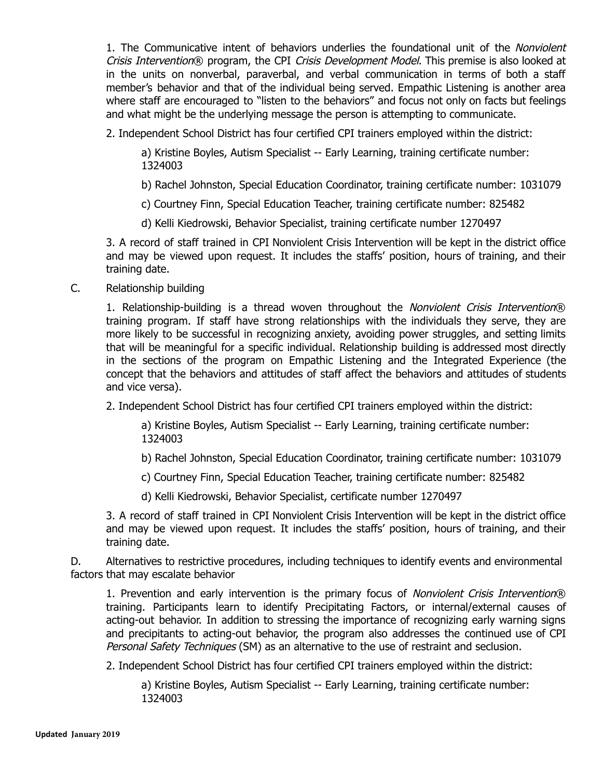1. The Communicative intent of behaviors underlies the foundational unit of the Nonviolent Crisis Intervention® program, the CPI Crisis Development Model. This premise is also looked at in the units on nonverbal, paraverbal, and verbal communication in terms of both a staff member's behavior and that of the individual being served. Empathic Listening is another area where staff are encouraged to "listen to the behaviors" and focus not only on facts but feelings and what might be the underlying message the person is attempting to communicate.

2. Independent School District has four certified CPI trainers employed within the district:

a) Kristine Boyles, Autism Specialist -- Early Learning, training certificate number: 1324003

b) Rachel Johnston, Special Education Coordinator, training certificate number: 1031079

c) Courtney Finn, Special Education Teacher, training certificate number: 825482

d) Kelli Kiedrowski, Behavior Specialist, training certificate number 1270497

3. A record of staff trained in CPI Nonviolent Crisis Intervention will be kept in the district office and may be viewed upon request. It includes the staffs' position, hours of training, and their training date.

C. Relationship building

1. Relationship-building is a thread woven throughout the Nonviolent Crisis Intervention ® training program. If staff have strong relationships with the individuals they serve, they are more likely to be successful in recognizing anxiety, avoiding power struggles, and setting limits that will be meaningful for a specific individual. Relationship building is addressed most directly in the sections of the program on Empathic Listening and the Integrated Experience (the concept that the behaviors and attitudes of staff affect the behaviors and attitudes of students and vice versa).

2. Independent School District has four certified CPI trainers employed within the district:

a) Kristine Boyles, Autism Specialist -- Early Learning, training certificate number: 1324003

b) Rachel Johnston, Special Education Coordinator, training certificate number: 1031079

c) Courtney Finn, Special Education Teacher, training certificate number: 825482

d) Kelli Kiedrowski, Behavior Specialist, certificate number 1270497

3. A record of staff trained in CPI Nonviolent Crisis Intervention will be kept in the district office and may be viewed upon request. It includes the staffs' position, hours of training, and their training date.

D. Alternatives to restrictive procedures, including techniques to identify events and environmental factors that may escalate behavior

1. Prevention and early intervention is the primary focus of *Nonviolent Crisis Intervention*® training. Participants learn to identify Precipitating Factors, or internal/external causes of acting-out behavior. In addition to stressing the importance of recognizing early warning signs and precipitants to acting-out behavior, the program also addresses the continued use of CPI Personal Safety Techniques (SM) as an alternative to the use of restraint and seclusion.

2. Independent School District has four certified CPI trainers employed within the district:

a) Kristine Boyles, Autism Specialist -- Early Learning, training certificate number: 1324003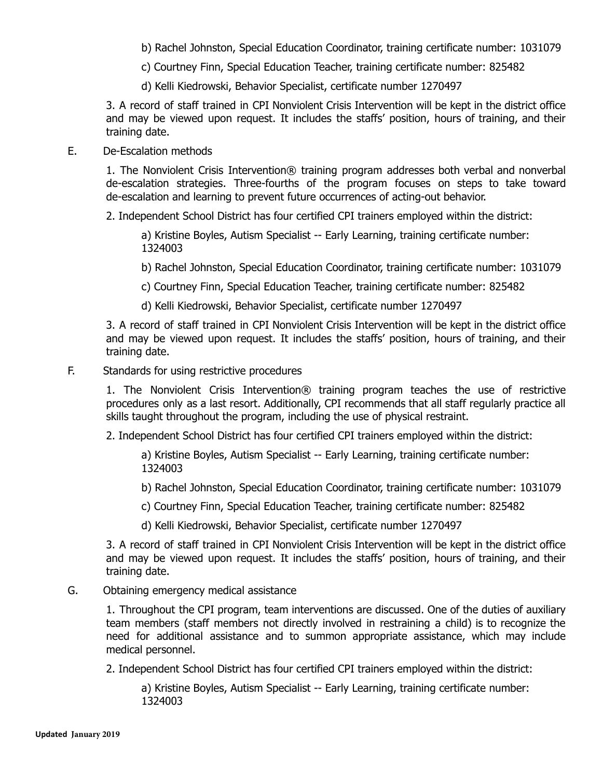b) Rachel Johnston, Special Education Coordinator, training certificate number: 1031079

c) Courtney Finn, Special Education Teacher, training certificate number: 825482

d) Kelli Kiedrowski, Behavior Specialist, certificate number 1270497

3. A record of staff trained in CPI Nonviolent Crisis Intervention will be kept in the district office and may be viewed upon request. It includes the staffs' position, hours of training, and their training date.

### E. De-Escalation methods

1. The Nonviolent Crisis Intervention® training program addresses both verbal and nonverbal de-escalation strategies. Three-fourths of the program focuses on steps to take toward de-escalation and learning to prevent future occurrences of acting-out behavior.

2. Independent School District has four certified CPI trainers employed within the district:

a) Kristine Boyles, Autism Specialist -- Early Learning, training certificate number: 1324003

b) Rachel Johnston, Special Education Coordinator, training certificate number: 1031079

c) Courtney Finn, Special Education Teacher, training certificate number: 825482

d) Kelli Kiedrowski, Behavior Specialist, certificate number 1270497

3. A record of staff trained in CPI Nonviolent Crisis Intervention will be kept in the district office and may be viewed upon request. It includes the staffs' position, hours of training, and their training date.

#### F. Standards for using restrictive procedures

1. The Nonviolent Crisis Intervention® training program teaches the use of restrictive procedures only as a last resort. Additionally, CPI recommends that all staff regularly practice all skills taught throughout the program, including the use of physical restraint.

2. Independent School District has four certified CPI trainers employed within the district:

a) Kristine Boyles, Autism Specialist -- Early Learning, training certificate number: 1324003

b) Rachel Johnston, Special Education Coordinator, training certificate number: 1031079

c) Courtney Finn, Special Education Teacher, training certificate number: 825482

d) Kelli Kiedrowski, Behavior Specialist, certificate number 1270497

3. A record of staff trained in CPI Nonviolent Crisis Intervention will be kept in the district office and may be viewed upon request. It includes the staffs' position, hours of training, and their training date.

### G. Obtaining emergency medical assistance

1. Throughout the CPI program, team interventions are discussed. One of the duties of auxiliary team members (staff members not directly involved in restraining a child) is to recognize the need for additional assistance and to summon appropriate assistance, which may include medical personnel.

2. Independent School District has four certified CPI trainers employed within the district:

a) Kristine Boyles, Autism Specialist -- Early Learning, training certificate number: 1324003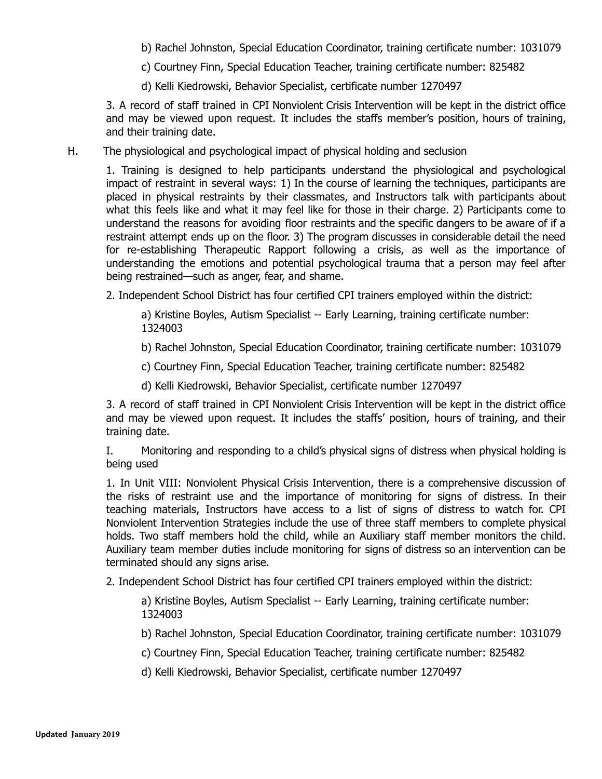b) Rachel Johnston, Special Education Coordinator, training certificate number: 1031079

c) Courtney Finn, Special Education Teacher, training certificate number: 825482

d) Kelli Kiedrowski, Behavior Specialist, certificate number 1270497

3. A record of staff trained in CPI Nonviolent Crisis Intervention will be kept in the district office and may be viewed upon request. It includes the staffs member's position, hours of training, and their training date.

H. The physiological and psychological impact of physical holding and seclusion

1. Training is designed to help participants understand the physiological and psychological impact of restraint in several ways: 1) In the course of learning the techniques, participants are placed in physical restraints by their classmates, and Instructors talk with participants about what this feels like and what it may feel like for those in their charge. 2) Participants come to understand the reasons for avoiding floor restraints and the specific dangers to be aware of if a restraint attempt ends up on the floor. 3) The program discusses in considerable detail the need for re-establishing Therapeutic Rapport following a crisis, as well as the importance of understanding the emotions and potential psychological trauma that a person may feel after being restrained—such as anger, fear, and shame.

2. Independent School District has four certified CPI trainers employed within the district:

a) Kristine Boyles, Autism Specialist -- Early Learning, training certificate number: 1324003

b) Rachel Johnston, Special Education Coordinator, training certificate number: 1031079

c) Courtney Finn, Special Education Teacher, training certificate number: 825482

d) Kelli Kiedrowski, Behavior Specialist, certificate number 1270497

3. A record of staff trained in CPI Nonviolent Crisis Intervention will be kept in the district office and may be viewed upon request. It includes the staffs' position, hours of training, and their training date.

I. Monitoring and responding to a child's physical signs of distress when physical holding is being used

1. In Unit VIII: Nonviolent Physical Crisis Intervention, there is a comprehensive discussion of the risks of restraint use and the importance of monitoring for signs of distress. In their teaching materials, Instructors have access to a list of signs of distress to watch for. CPI Nonviolent Intervention Strategies include the use of three staff members to complete physical holds. Two staff members hold the child, while an Auxiliary staff member monitors the child. Auxiliary team member duties include monitoring for signs of distress so an intervention can be terminated should any signs arise.

2. Independent School District has four certified CPI trainers employed within the district:

a) Kristine Boyles, Autism Specialist -- Early Learning, training certificate number: 1324003

b) Rachel Johnston, Special Education Coordinator, training certificate number: 1031079

c) Courtney Finn, Special Education Teacher, training certificate number: 825482

d) Kelli Kiedrowski, Behavior Specialist, certificate number 1270497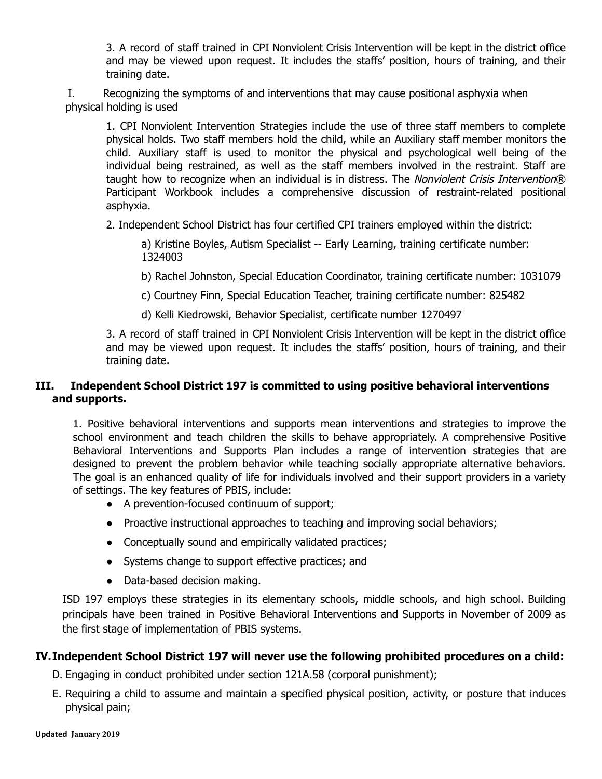3. A record of staff trained in CPI Nonviolent Crisis Intervention will be kept in the district office and may be viewed upon request. It includes the staffs' position, hours of training, and their training date.

I. Recognizing the symptoms of and interventions that may cause positional asphyxia when physical holding is used

1. CPI Nonviolent Intervention Strategies include the use of three staff members to complete physical holds. Two staff members hold the child, while an Auxiliary staff member monitors the child. Auxiliary staff is used to monitor the physical and psychological well being of the individual being restrained, as well as the staff members involved in the restraint. Staff are taught how to recognize when an individual is in distress. The Nonviolent Crisis Intervention ® Participant Workbook includes a comprehensive discussion of restraint-related positional asphyxia.

2. Independent School District has four certified CPI trainers employed within the district:

a) Kristine Boyles, Autism Specialist -- Early Learning, training certificate number: 1324003

b) Rachel Johnston, Special Education Coordinator, training certificate number: 1031079

c) Courtney Finn, Special Education Teacher, training certificate number: 825482

d) Kelli Kiedrowski, Behavior Specialist, certificate number 1270497

3. A record of staff trained in CPI Nonviolent Crisis Intervention will be kept in the district office and may be viewed upon request. It includes the staffs' position, hours of training, and their training date.

## **III. Independent School District 197 is committed to using positive behavioral interventions and supports.**

1. Positive behavioral interventions and supports mean interventions and strategies to improve the school environment and teach children the skills to behave appropriately. A comprehensive Positive Behavioral Interventions and Supports Plan includes a range of intervention strategies that are designed to prevent the problem behavior while teaching socially appropriate alternative behaviors. The goal is an enhanced quality of life for individuals involved and their support providers in a variety of settings. The key features of PBIS, include:

- A prevention-focused continuum of support;
- Proactive instructional approaches to teaching and improving social behaviors;
- Conceptually sound and empirically validated practices;
- Systems change to support effective practices; and
- Data-based decision making.

ISD 197 employs these strategies in its elementary schools, middle schools, and high school. Building principals have been trained in Positive Behavioral Interventions and Supports in November of 2009 as the first stage of implementation of PBIS systems.

### **IV.Independent School District 197 will never use the following prohibited procedures on a child:**

D. Engaging in conduct prohibited under section 121A.58 (corporal punishment);

E. Requiring a child to assume and maintain a specified physical position, activity, or posture that induces physical pain;